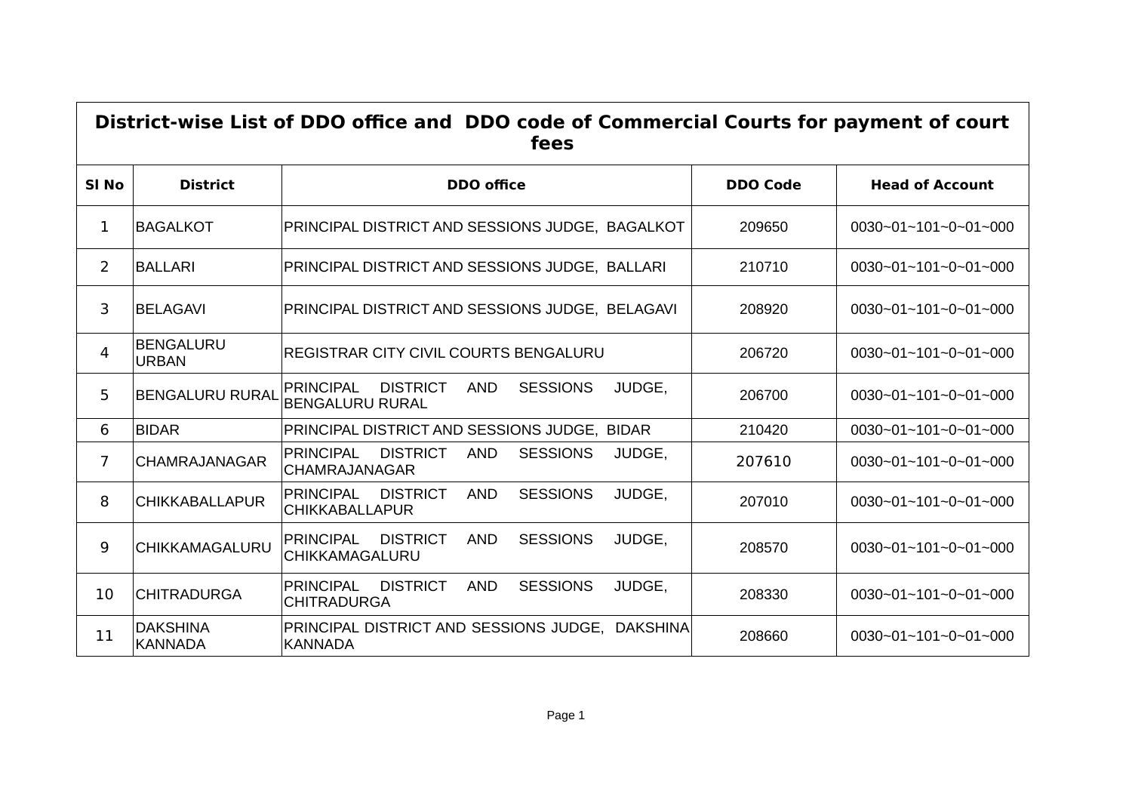| District-wise List of DDO office and DDO code of Commercial Courts for payment of court<br>fees |                                   |                                                                                                          |                 |                                  |  |  |
|-------------------------------------------------------------------------------------------------|-----------------------------------|----------------------------------------------------------------------------------------------------------|-----------------|----------------------------------|--|--|
| SI <sub>No</sub>                                                                                | <b>District</b>                   | <b>DDO</b> office                                                                                        | <b>DDO Code</b> | <b>Head of Account</b>           |  |  |
| 1                                                                                               | <b>BAGALKOT</b>                   | PRINCIPAL DISTRICT AND SESSIONS JUDGE, BAGALKOT                                                          | 209650          | 0030~01~101~0~01~000             |  |  |
| 2                                                                                               | <b>BALLARI</b>                    | PRINCIPAL DISTRICT AND SESSIONS JUDGE, BALLARI                                                           | 210710          | 0030~01~101~0~01~000             |  |  |
| 3                                                                                               | <b>BELAGAVI</b>                   | PRINCIPAL DISTRICT AND SESSIONS JUDGE, BELAGAVI                                                          | 208920          | 0030~01~101~0~01~000             |  |  |
| 4                                                                                               | <b>BENGALURU</b><br><b>URBAN</b>  | <b>REGISTRAR CITY CIVIL COURTS BENGALURU</b>                                                             | 206720          | $0030 - 01 - 101 - 0 - 01 - 000$ |  |  |
| 5                                                                                               | <b>BENGALURU RURAL</b>            | <b>DISTRICT</b><br><b>AND</b><br><b>SESSIONS</b><br>JUDGE,<br><b>PRINCIPAL</b><br><b>BENGALURU RURAL</b> | 206700          | $0030 - 01 - 101 - 0 - 01 - 000$ |  |  |
| 6                                                                                               | <b>BIDAR</b>                      | PRINCIPAL DISTRICT AND SESSIONS JUDGE, BIDAR                                                             | 210420          | $0030 - 01 - 101 - 0 - 01 - 000$ |  |  |
| $\overline{7}$                                                                                  | <b>CHAMRAJANAGAR</b>              | <b>PRINCIPAL</b><br><b>DISTRICT</b><br><b>AND</b><br><b>SESSIONS</b><br>JUDGE,<br><b>CHAMRAJANAGAR</b>   | 207610          | 0030~01~101~0~01~000             |  |  |
| 8                                                                                               | <b>CHIKKABALLAPUR</b>             | <b>PRINCIPAL</b><br><b>DISTRICT</b><br><b>AND</b><br><b>SESSIONS</b><br>JUDGE,<br><b>CHIKKABALLAPUR</b>  | 207010          | 0030~01~101~0~01~000             |  |  |
| 9                                                                                               | CHIKKAMAGALURU                    | <b>PRINCIPAL</b><br><b>DISTRICT</b><br><b>AND</b><br><b>SESSIONS</b><br>JUDGE,<br>CHIKKAMAGALURU         | 208570          | 0030~01~101~0~01~000             |  |  |
| 10                                                                                              | <b>CHITRADURGA</b>                | <b>PRINCIPAL</b><br><b>DISTRICT</b><br><b>AND</b><br><b>SESSIONS</b><br>JUDGE,<br><b>CHITRADURGA</b>     | 208330          | $0030 - 01 - 101 - 0 - 01 - 000$ |  |  |
| 11                                                                                              | <b>DAKSHINA</b><br><b>KANNADA</b> | PRINCIPAL DISTRICT AND SESSIONS JUDGE, DAKSHINA<br><b>KANNADA</b>                                        | 208660          | $0030 - 01 - 101 - 0 - 01 - 000$ |  |  |

D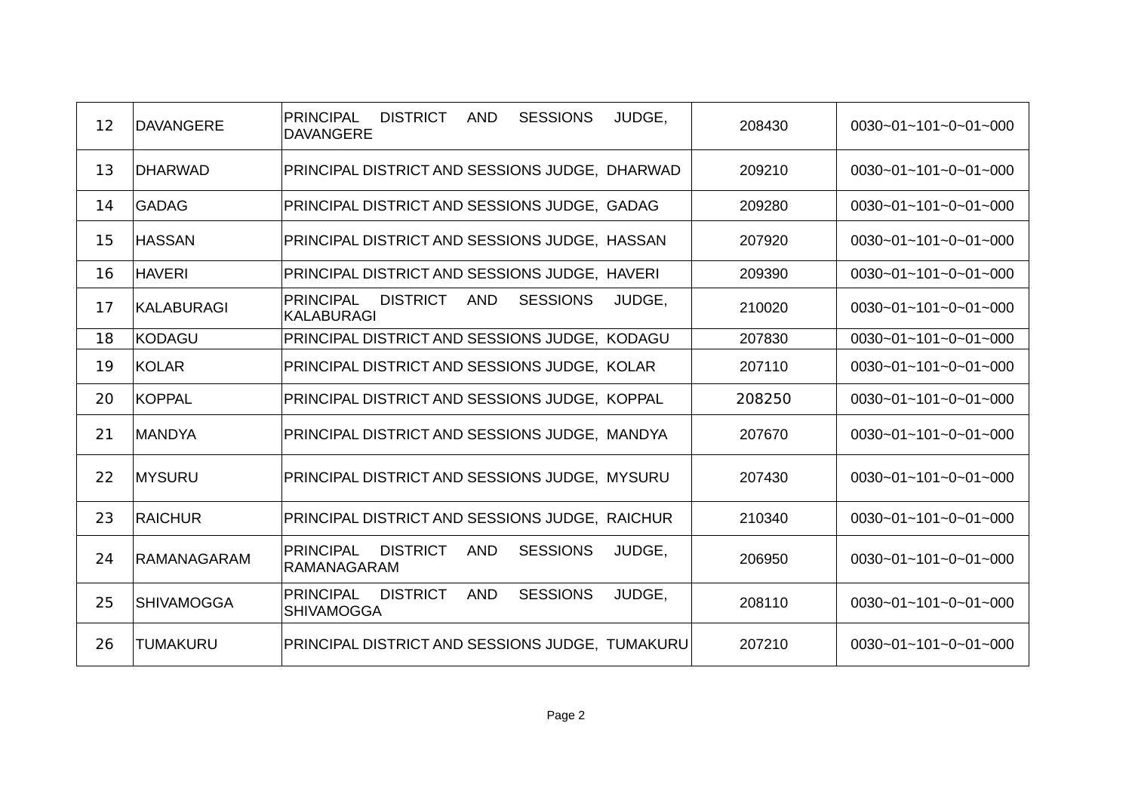| 12 | <b>DAVANGERE</b>  | PRINCIPAL<br><b>DISTRICT</b><br><b>AND</b><br><b>SESSIONS</b><br>JUDGE,<br><b>DAVANGERE</b>         | 208430 | $0030 - 01 - 101 - 0 - 01 - 000$ |
|----|-------------------|-----------------------------------------------------------------------------------------------------|--------|----------------------------------|
| 13 | <b>DHARWAD</b>    | PRINCIPAL DISTRICT AND SESSIONS JUDGE, DHARWAD                                                      | 209210 | $0030 - 01 - 101 - 0 - 01 - 000$ |
| 14 | GADAG             | PRINCIPAL DISTRICT AND SESSIONS JUDGE, GADAG                                                        | 209280 | $0030 - 01 - 101 - 0 - 01 - 000$ |
| 15 | <b>HASSAN</b>     | PRINCIPAL DISTRICT AND SESSIONS JUDGE, HASSAN                                                       | 207920 | 0030~01~101~0~01~000             |
| 16 | <b>HAVERI</b>     | PRINCIPAL DISTRICT AND SESSIONS JUDGE, HAVERI                                                       | 209390 | 0030~01~101~0~01~000             |
| 17 | <b>KALABURAGI</b> | <b>PRINCIPAL</b><br><b>DISTRICT</b><br><b>AND</b><br><b>SESSIONS</b><br>JUDGE,<br><b>KALABURAGI</b> | 210020 | 0030~01~101~0~01~000             |
| 18 | <b>KODAGU</b>     | PRINCIPAL DISTRICT AND SESSIONS JUDGE, KODAGU                                                       | 207830 | 0030~01~101~0~01~000             |
| 19 | KOLAR             | PRINCIPAL DISTRICT AND SESSIONS JUDGE, KOLAR                                                        | 207110 | 0030~01~101~0~01~000             |
| 20 | KOPPAL            | PRINCIPAL DISTRICT AND SESSIONS JUDGE, KOPPAL                                                       | 208250 | 0030~01~101~0~01~000             |
| 21 | MANDYA            | PRINCIPAL DISTRICT AND SESSIONS JUDGE, MANDYA                                                       | 207670 | 0030~01~101~0~01~000             |
| 22 | MYSURU            | PRINCIPAL DISTRICT AND SESSIONS JUDGE, MYSURU                                                       | 207430 | 0030~01~101~0~01~000             |
| 23 | RAICHUR           | PRINCIPAL DISTRICT AND SESSIONS JUDGE, RAICHUR                                                      | 210340 | 0030~01~101~0~01~000             |
| 24 | RAMANAGARAM       | <b>DISTRICT</b><br><b>AND</b><br><b>SESSIONS</b><br><b>PRINCIPAL</b><br>JUDGE,<br>RAMANAGARAM       | 206950 | 0030~01~101~0~01~000             |
| 25 | <b>SHIVAMOGGA</b> | <b>PRINCIPAL</b><br><b>DISTRICT</b><br><b>AND</b><br><b>SESSIONS</b><br>JUDGE,<br><b>SHIVAMOGGA</b> | 208110 | 0030~01~101~0~01~000             |
| 26 | <b>TUMAKURU</b>   | PRINCIPAL DISTRICT AND SESSIONS JUDGE, TUMAKURU                                                     | 207210 | 0030~01~101~0~01~000             |